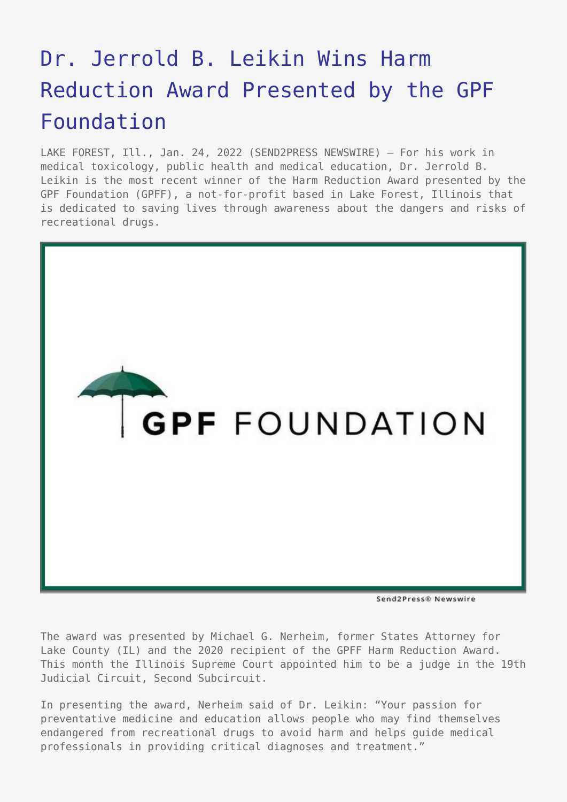## [Dr. Jerrold B. Leikin Wins Harm](https://www.send2press.com/wire/dr-jerrold-b-leikin-wins-harm-reduction-award-presented-by-the-gpf-foundation/) [Reduction Award Presented by the GPF](https://www.send2press.com/wire/dr-jerrold-b-leikin-wins-harm-reduction-award-presented-by-the-gpf-foundation/) [Foundation](https://www.send2press.com/wire/dr-jerrold-b-leikin-wins-harm-reduction-award-presented-by-the-gpf-foundation/)

LAKE FOREST, Ill., Jan. 24, 2022 (SEND2PRESS NEWSWIRE) — For his work in medical toxicology, public health and medical education, Dr. Jerrold B. Leikin is the most recent winner of the Harm Reduction Award presented by the GPF Foundation (GPFF), a not-for-profit based in Lake Forest, Illinois that is dedicated to saving lives through awareness about the dangers and risks of recreational drugs.



Send2Press® Newswire

The award was presented by Michael G. Nerheim, former States Attorney for Lake County (IL) and the 2020 recipient of the GPFF Harm Reduction Award. This month the Illinois Supreme Court appointed him to be a judge in the 19th Judicial Circuit, Second Subcircuit.

In presenting the award, Nerheim said of Dr. Leikin: "Your passion for preventative medicine and education allows people who may find themselves endangered from recreational drugs to avoid harm and helps guide medical professionals in providing critical diagnoses and treatment."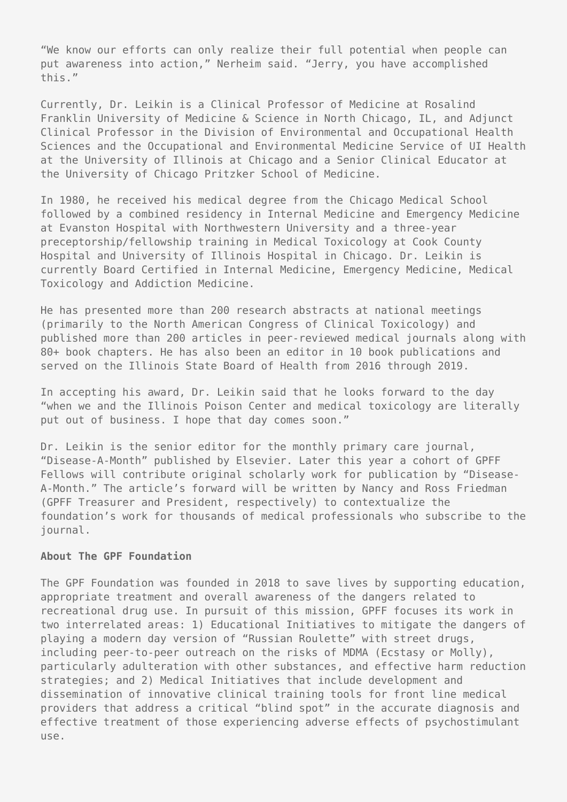"We know our efforts can only realize their full potential when people can put awareness into action," Nerheim said. "Jerry, you have accomplished this."

Currently, Dr. Leikin is a Clinical Professor of Medicine at Rosalind Franklin University of Medicine & Science in North Chicago, IL, and Adjunct Clinical Professor in the Division of Environmental and Occupational Health Sciences and the Occupational and Environmental Medicine Service of UI Health at the University of Illinois at Chicago and a Senior Clinical Educator at the University of Chicago Pritzker School of Medicine.

In 1980, he received his medical degree from the Chicago Medical School followed by a combined residency in Internal Medicine and Emergency Medicine at Evanston Hospital with Northwestern University and a three-year preceptorship/fellowship training in Medical Toxicology at Cook County Hospital and University of Illinois Hospital in Chicago. Dr. Leikin is currently Board Certified in Internal Medicine, Emergency Medicine, Medical Toxicology and Addiction Medicine.

He has presented more than 200 research abstracts at national meetings (primarily to the North American Congress of Clinical Toxicology) and published more than 200 articles in peer-reviewed medical journals along with 80+ book chapters. He has also been an editor in 10 book publications and served on the Illinois State Board of Health from 2016 through 2019.

In accepting his award, Dr. Leikin said that he looks forward to the day "when we and the Illinois Poison Center and medical toxicology are literally put out of business. I hope that day comes soon."

Dr. Leikin is the senior editor for the monthly primary care journal, "Disease-A-Month" published by Elsevier. Later this year a cohort of GPFF Fellows will contribute original scholarly work for publication by "Disease-A-Month." The article's forward will be written by Nancy and Ross Friedman (GPFF Treasurer and President, respectively) to contextualize the foundation's work for thousands of medical professionals who subscribe to the journal.

## **About The GPF Foundation**

The GPF Foundation was founded in 2018 to save lives by supporting education, appropriate treatment and overall awareness of the dangers related to recreational drug use. In pursuit of this mission, GPFF focuses its work in two interrelated areas: 1) Educational Initiatives to mitigate the dangers of playing a modern day version of "Russian Roulette" with street drugs, including peer-to-peer outreach on the risks of MDMA (Ecstasy or Molly), particularly adulteration with other substances, and effective harm reduction strategies; and 2) Medical Initiatives that include development and dissemination of innovative clinical training tools for front line medical providers that address a critical "blind spot" in the accurate diagnosis and effective treatment of those experiencing adverse effects of psychostimulant use.